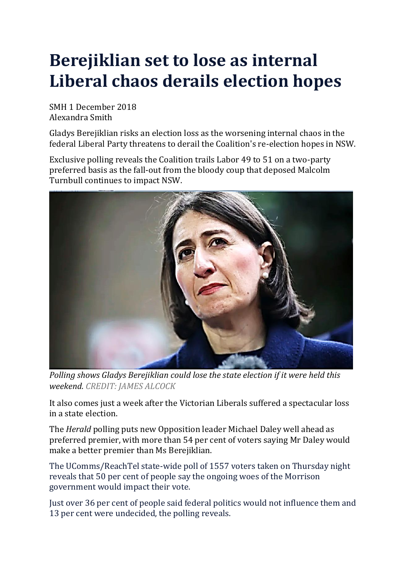# **Berejiklian set to lose as internal Liberal chaos derails election hopes**

SMH 1 December 2018 Alexandra Smith

Gladys Berejiklian risks an election loss as the worsening internal chaos in the federal Liberal Party threatens to derail the Coalition's re-election hopes in NSW.

Exclusive polling reveals the Coalition trails Labor 49 to 51 on a two-party preferred basis as the fall-out from the bloody coup that deposed Malcolm Turnbull continues to impact NSW.



*Polling shows Gladys Berejiklian could lose the state election if it were held this weekend. CREDIT: JAMES ALCOCK*

It also comes just a week after the Victorian Liberals suffered a spectacular loss in a state election.

The *Herald* polling puts new Opposition leader Michael Daley well ahead as preferred premier, with more than 54 per cent of voters saying Mr Daley would make a better premier than Ms Berejiklian.

The UComms/ReachTel state-wide poll of 1557 voters taken on Thursday night reveals that 50 per cent of people say the ongoing woes of the Morrison government would impact their vote.

Just over 36 per cent of people said federal politics would not influence them and 13 per cent were undecided, the polling reveals.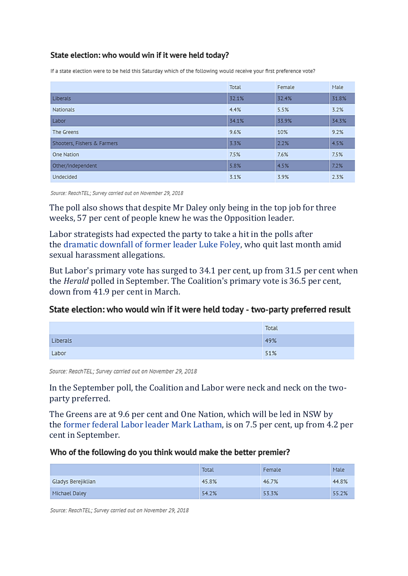## State election: who would win if it were held today?

If a state election were to be held this Saturday which of the following would receive your first preference vote?

|                             | Total | Female | Male  |
|-----------------------------|-------|--------|-------|
| Liberals                    | 32.1% | 32.4%  | 31.8% |
| Nationals                   | 4.4%  | 5.5%   | 3.2%  |
| Labor                       | 34.1% | 33.9%  | 34.3% |
| The Greens                  | 9.6%  | 10%    | 9.2%  |
| Shooters, Fishers & Farmers | 3.3%  | 2.2%   | 4.5%  |
| One Nation                  | 7.5%  | 7.6%   | 7.5%  |
| Other/Independent           | 5.8%  | 4.5%   | 7.2%  |
| Undecided                   | 3.1%  | 3.9%   | 2.3%  |

Source: ReachTEL; Survey carried out on November 29, 2018

The poll also shows that despite Mr Daley only being in the top job for three weeks, 57 per cent of people knew he was the Opposition leader.

Labor strategists had expected the party to take a hit in the polls after the [dramatic](https://www.smh.com.au/national/nsw/luke-foley-resigns-as-nsw-labor-leader-following-explosive-allegations-20181108-p50euz.html) downfall of former leader Luke Foley, who quit last month amid sexual harassment allegations.

But Labor's primary vote has surged to 34.1 per cent, up from 31.5 per cent when the *Herald* polled in September. The Coalition's primary vote is 36.5 per cent, down from 41.9 per cent in March.

### State election: who would win if it were held today - two-party preferred result

|          | Total |
|----------|-------|
| Liberals | 49%   |
| Labor    | 51%   |

Source: ReachTEL; Survey carried out on November 29, 2018

In the September poll, the Coalition and Labor were neck and neck on the twoparty preferred.

The Greens are at 9.6 per cent and One Nation, which will be led in NSW by the former federal Labor leader Mark [Latham,](https://www.smh.com.au/politics/federal/mark-latham-will-contest-nsw-election-with-one-nation-to-fight-for-civilisational-values-20181107-p50efa.html) is on 7.5 per cent, up from 4.2 per cent in September.

#### Who of the following do you think would make the better premier?

|                    | <b>Total</b> | Female | Male  |
|--------------------|--------------|--------|-------|
| Gladys Berejiklian | 45.8%        | 46.7%  | 44.8% |
| Michael Daley      | 54.2%        | 53.3%  | 55.2% |

Source: ReachTEL; Survey carried out on November 29, 2018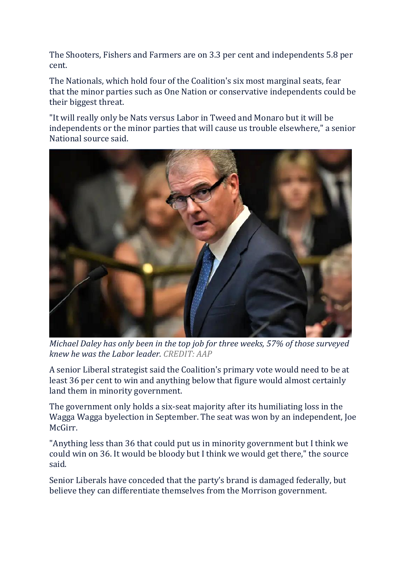The Shooters, Fishers and Farmers are on 3.3 per cent and independents 5.8 per cent.

The Nationals, which hold four of the Coalition's six most marginal seats, fear that the minor parties such as One Nation or conservative independents could be their biggest threat.

"It will really only be Nats versus Labor in Tweed and Monaro but it will be independents or the minor parties that will cause us trouble elsewhere," a senior National source said.



*Michael Daley has only been in the top job for three weeks, 57% of those surveyed knew he was the Labor leader. CREDIT: AAP*

A senior Liberal strategist said the Coalition's primary vote would need to be at least 36 per cent to win and anything below that figure would almost certainly land them in minority government.

The government only holds a six-seat majority after its humiliating loss in the Wagga Wagga byelection in September. The seat was won by an independent, Joe McGirr.

"Anything less than 36 that could put us in minority government but I think we could win on 36. It would be bloody but I think we would get there," the source said.

Senior Liberals have conceded that the party's brand is damaged federally, but believe they can differentiate themselves from the Morrison government.